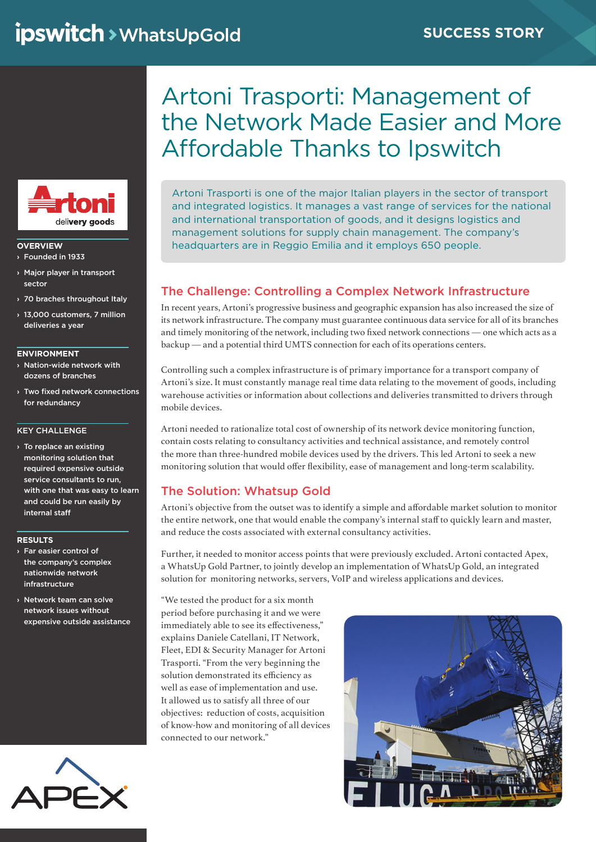

### **OVERVIEW** › Founded in 1933

- › Major player in transport sector
- › 70 braches throughout Italy
- › 13,000 customers, 7 million deliveries a year

#### **ENVIRONMENT**

- › Nation-wide network with dozens of branches
- › Two fixed network connections for redundancy

### KEY CHALLENGE

› To replace an existing monitoring solution that required expensive outside service consultants to run, with one that was easy to learn and could be run easily by internal staff

### **RESULTS**

- › Far easier control of the company's complex nationwide network infrastructure
- › Network team can solve network issues without expensive outside assistance



# Artoni Trasporti: Management of the Network Made Easier and More Affordable Thanks to Ipswitch

Artoni Trasporti is one of the major Italian players in the sector of transport and integrated logistics. It manages a vast range of services for the national and international transportation of goods, and it designs logistics and management solutions for supply chain management. The company's headquarters are in Reggio Emilia and it employs 650 people.

## The Challenge: Controlling a Complex Network Infrastructure

In recent years, Artoni's progressive business and geographic expansion has also increased the size of its network infrastructure. The company must guarantee continuous data service for all of its branches and timely monitoring of the network, including two fixed network connections — one which acts as a backup — and a potential third UMTS connection for each of its operations centers.

Controlling such a complex infrastructure is of primary importance for a transport company of Artoni's size. It must constantly manage real time data relating to the movement of goods, including warehouse activities or information about collections and deliveries transmitted to drivers through mobile devices.

Artoni needed to rationalize total cost of ownership of its network device monitoring function, contain costs relating to consultancy activities and technical assistance, and remotely control the more than three-hundred mobile devices used by the drivers. This led Artoni to seek a new monitoring solution that would offer flexibility, ease of management and long-term scalability.

## The Solution: Whatsup Gold

Artoni's objective from the outset was to identify a simple and affordable market solution to monitor the entire network, one that would enable the company's internal staff to quickly learn and master, and reduce the costs associated with external consultancy activities.

Further, it needed to monitor access points that were previously excluded. Artoni contacted Apex, a WhatsUp Gold Partner, to jointly develop an implementation of WhatsUp Gold, an integrated solution for monitoring networks, servers, VoIP and wireless applications and devices.

"We tested the product for a six month period before purchasing it and we were immediately able to see its effectiveness," explains Daniele Catellani, IT Network, Fleet, EDI & Security Manager for Artoni Trasporti. "From the very beginning the solution demonstrated its efficiency as well as ease of implementation and use. It allowed us to satisfy all three of our objectives: reduction of costs, acquisition of know-how and monitoring of all devices connected to our network."